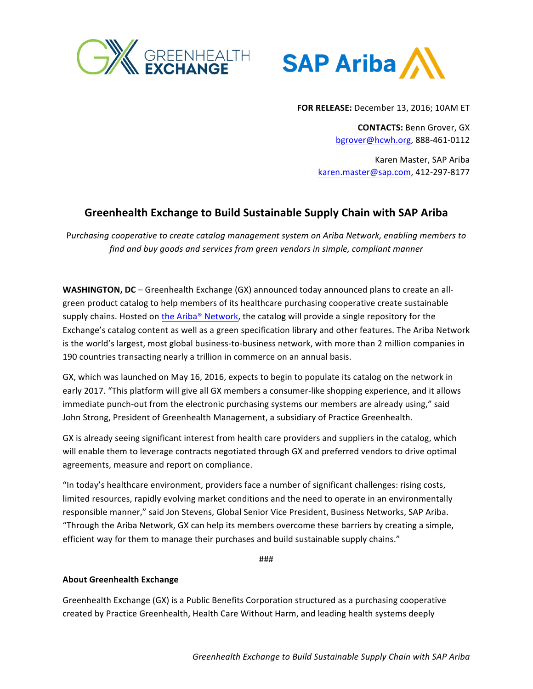



**FOR RELEASE:** December 13, 2016; 10AM ET

**CONTACTS: Benn Grover, GX** [bgrover@hcwh.org](mailto:bgrover@hcwh.org), 888-461-0112

Karen Master, SAP Ariba [karen.master@sap.com](mailto:karen.master@sap.com), 412-297-8177

## **Greenhealth Exchange to Build Sustainable Supply Chain with SAP Ariba**

Purchasing cooperative to create catalog management system on Ariba Network, enabling members to find and buy goods and services from green vendors in simple, compliant manner

**WASHINGTON, DC** – Greenhealth Exchange (GX) announced today announced plans to create an allgreen product catalog to help members of its healthcare purchasing cooperative create sustainable supply chains. Hosted on the Ariba® Network, the catalog will provide a single repository for the Exchange's catalog content as well as a green specification library and other features. The Ariba Network is the world's largest, most global business-to-business network, with more than 2 million companies in 190 countries transacting nearly a trillion in commerce on an annual basis.

GX, which was launched on May 16, 2016, expects to begin to populate its catalog on the network in early 2017. "This platform will give all GX members a consumer-like shopping experience, and it allows immediate punch-out from the electronic purchasing systems our members are already using," said John Strong, President of Greenhealth Management, a subsidiary of Practice Greenhealth.

GX is already seeing significant interest from health care providers and suppliers in the catalog, which will enable them to leverage contracts negotiated through GX and preferred vendors to drive optimal agreements, measure and report on compliance.

"In today's healthcare environment, providers face a number of significant challenges: rising costs, limited resources, rapidly evolving market conditions and the need to operate in an environmentally responsible manner," said Jon Stevens, Global Senior Vice President, Business Networks, SAP Ariba. "Through the Ariba Network, GX can help its members overcome these barriers by creating a simple, efficient way for them to manage their purchases and build sustainable supply chains."

###

## **About Greenhealth Exchange**

Greenhealth Exchange (GX) is a Public Benefits Corporation structured as a purchasing cooperative created by Practice Greenhealth, Health Care Without Harm, and leading health systems deeply